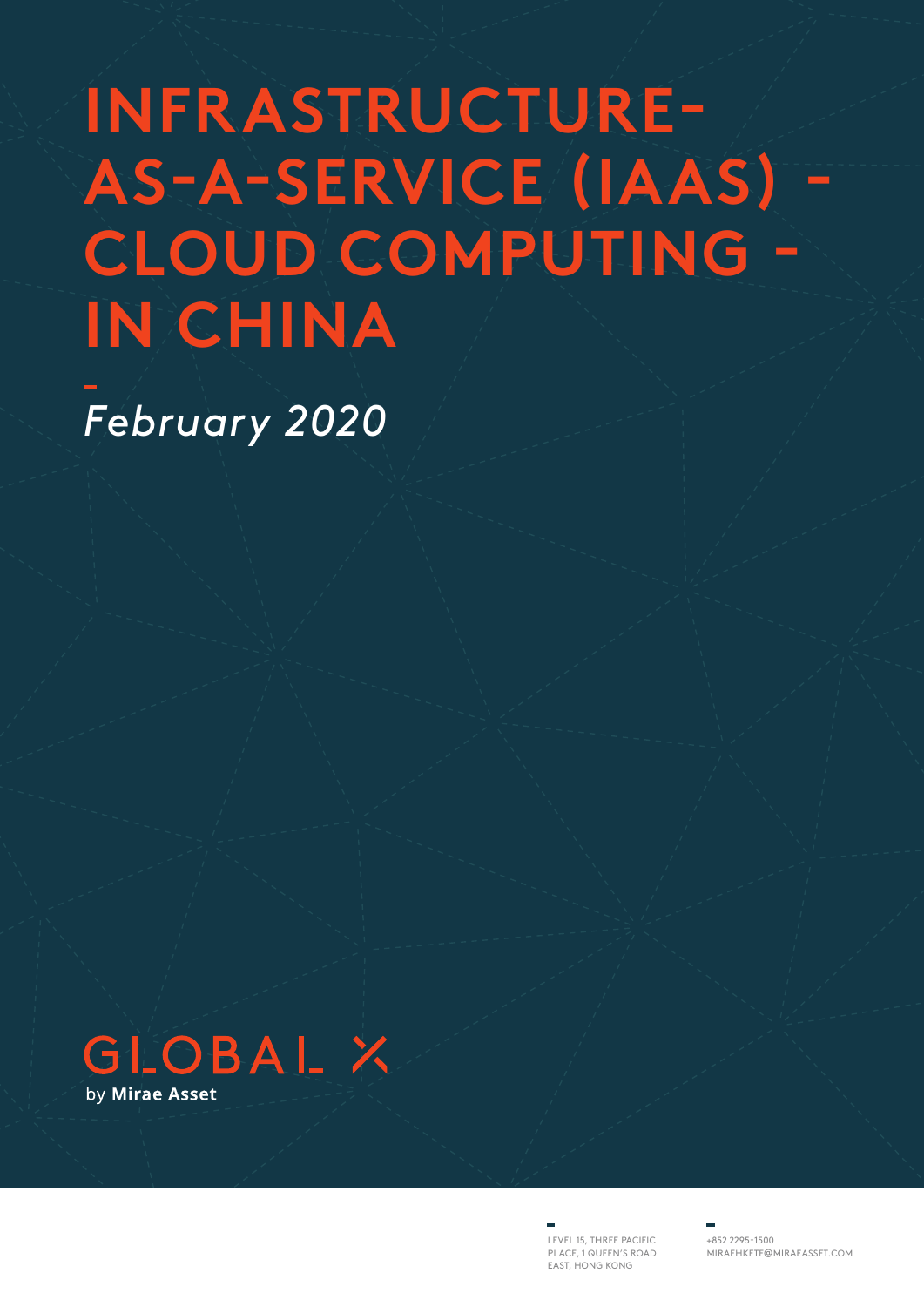# **INFRASTRUCTURE-AS-A-SERVICE (IAAS) - CLOUD COMPUTING - IN CHINA**

*February 2020*



LEVEL 15, THREE PACIFIC PLACE, 1 QUEEN'S ROAD EAST, HONG KONG

+852 2295-1500 MIRAEHKETF@MIRAEASSET.COM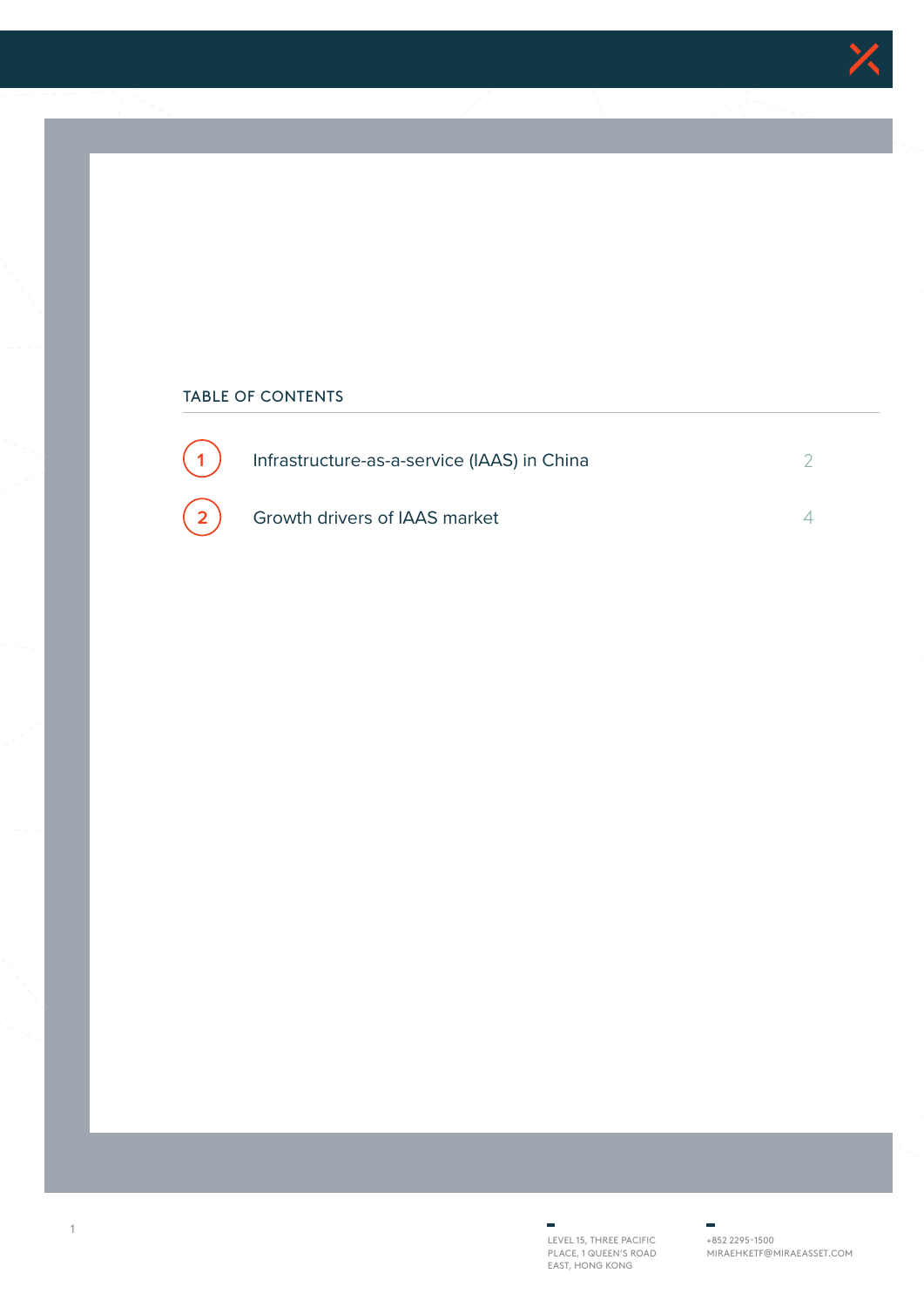

### TABLE OF CONTENTS



LEVEL 15, THREE PACIFIC PLACE, 1 QUEEN'S ROAD EAST, HONG KONG

+852 2295-1500 MIRAEHKETF@MIRAEASSET.COM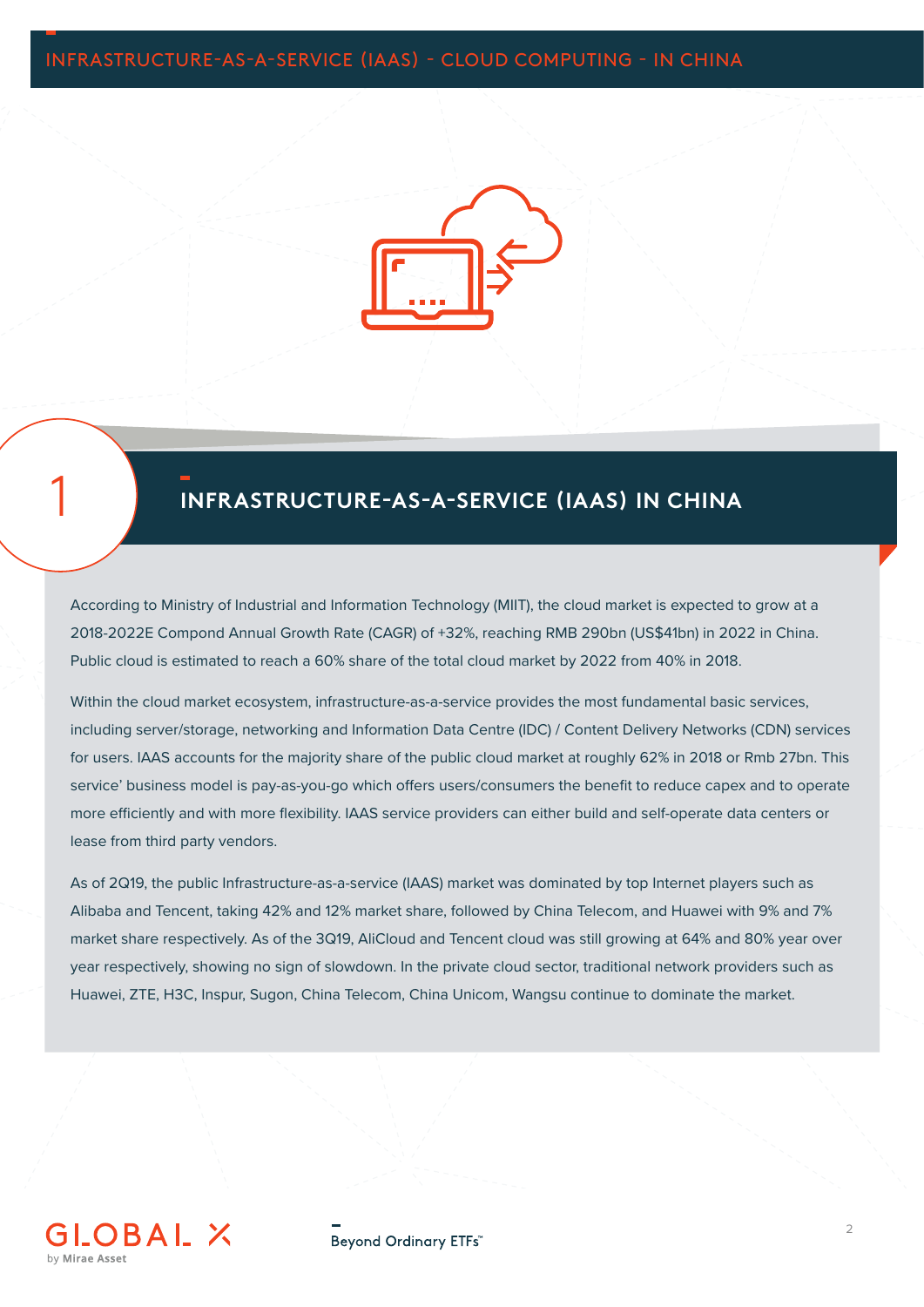

# 1 **INFRASTRUCTURE-AS-A-SERVICE (IAAS) IN CHINA**

According to Ministry of Industrial and Information Technology (MIIT), the cloud market is expected to grow at a 2018-2022E Compond Annual Growth Rate (CAGR) of +32%, reaching RMB 290bn (US\$41bn) in 2022 in China. Public cloud is estimated to reach a 60% share of the total cloud market by 2022 from 40% in 2018.

Within the cloud market ecosystem, infrastructure-as-a-service provides the most fundamental basic services, including server/storage, networking and Information Data Centre (IDC) / Content Delivery Networks (CDN) services for users. IAAS accounts for the majority share of the public cloud market at roughly 62% in 2018 or Rmb 27bn. This service' business model is pay-as-you-go which offers users/consumers the benefit to reduce capex and to operate more efficiently and with more flexibility. IAAS service providers can either build and self-operate data centers or lease from third party vendors.

As of 2Q19, the public Infrastructure-as-a-service (IAAS) market was dominated by top Internet players such as Alibaba and Tencent, taking 42% and 12% market share, followed by China Telecom, and Huawei with 9% and 7% market share respectively. As of the 3Q19, AliCloud and Tencent cloud was still growing at 64% and 80% year over year respectively, showing no sign of slowdown. In the private cloud sector, traditional network providers such as Huawei, ZTE, H3C, Inspur, Sugon, China Telecom, China Unicom, Wangsu continue to dominate the market.



Beyond Ordinary ETFs"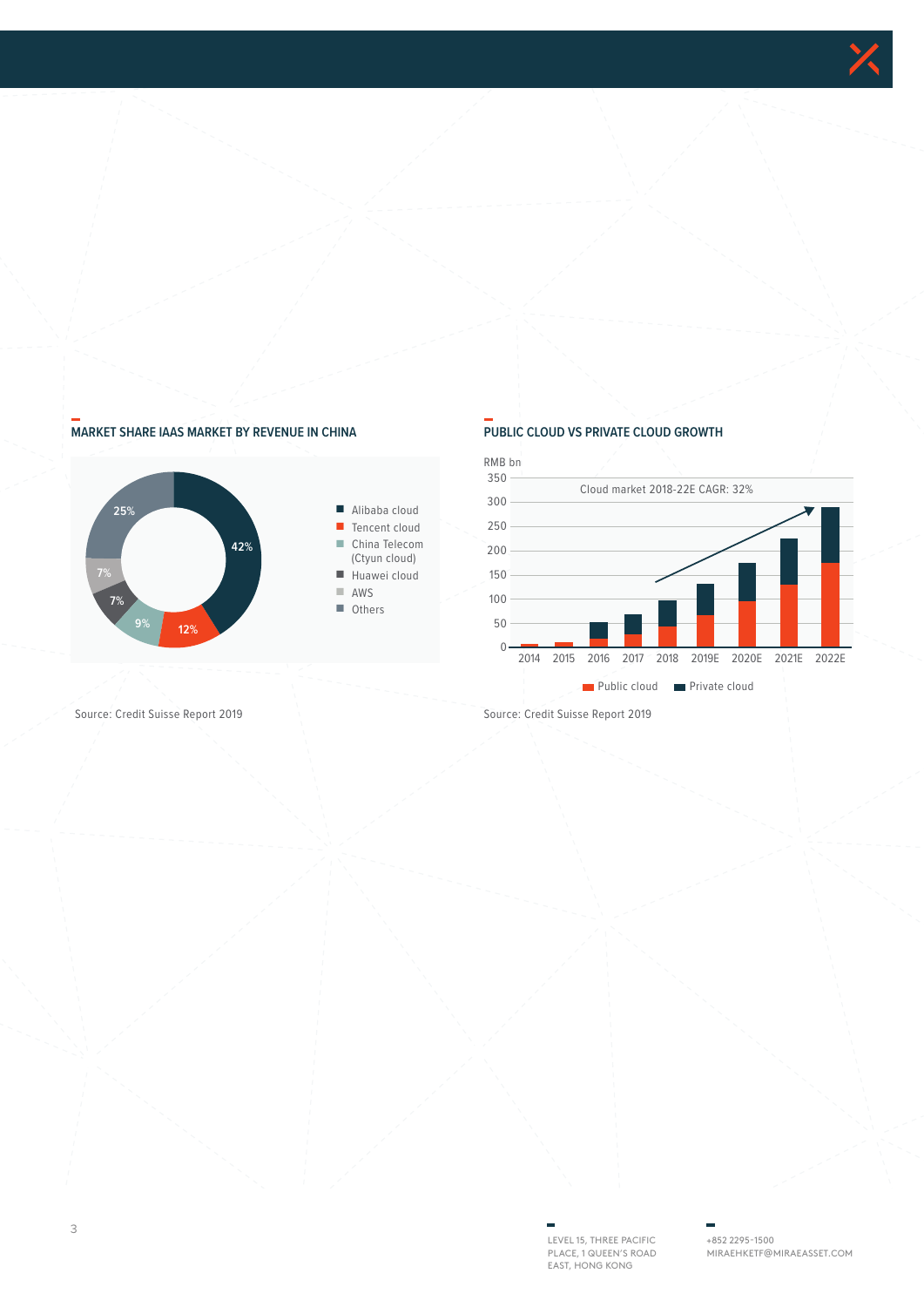

### **MARKET SHARE IAAS MARKET BY REVENUE IN CHINA PUBLIC CLOUD VS PRIVATE CLOUD GROWTH**





Source: Credit Suisse Report 2019 Source: Credit Suisse Report 2019

LEVEL 15, THREE PACIFIC PLACE, 1 QUEEN'S ROAD EAST, HONG KONG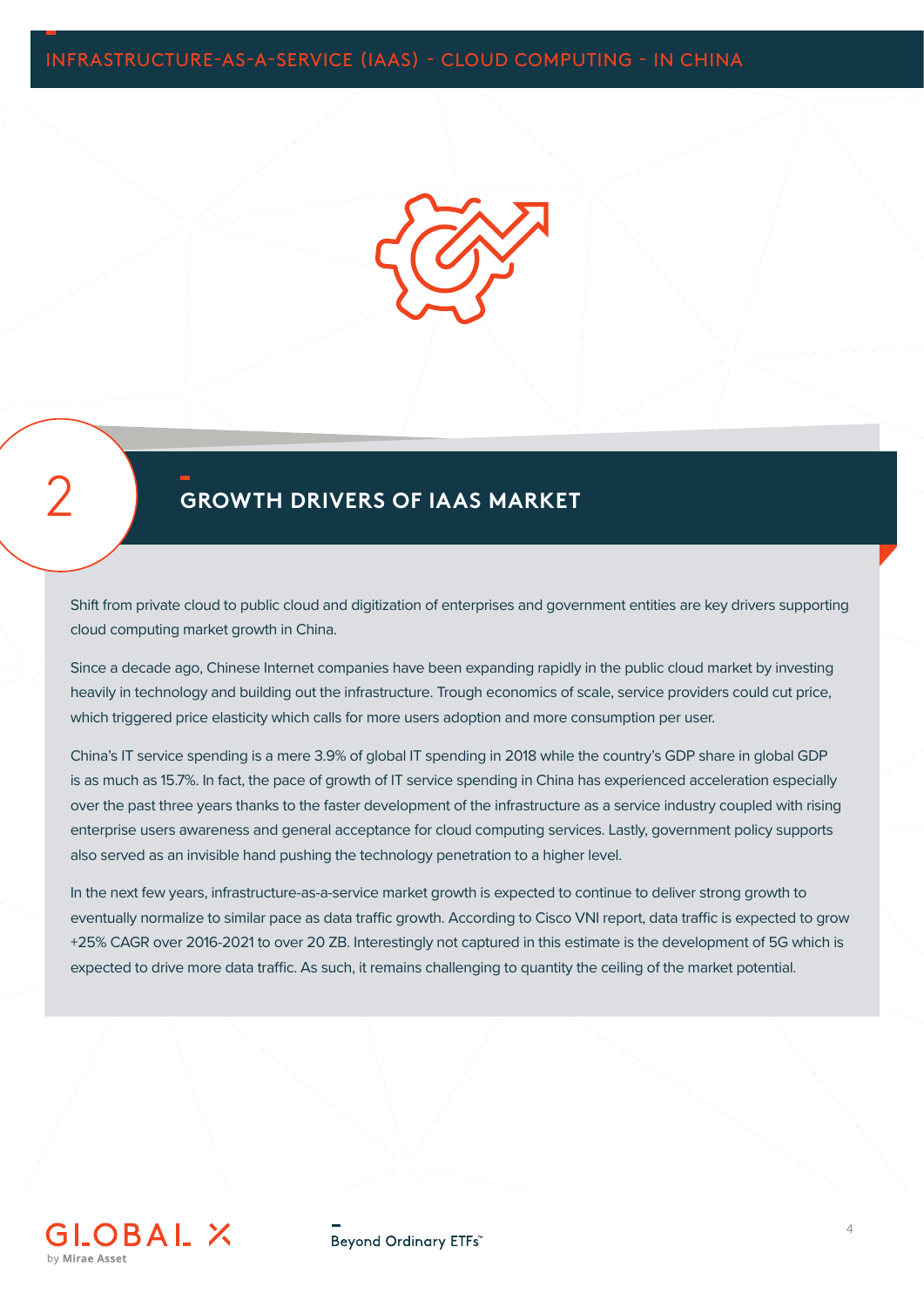

## 2 **GROWTH DRIVERS OF IAAS MARKET**

Shift from private cloud to public cloud and digitization of enterprises and government entities are key drivers supporting cloud computing market growth in China.

Since a decade ago, Chinese Internet companies have been expanding rapidly in the public cloud market by investing heavily in technology and building out the infrastructure. Trough economics of scale, service providers could cut price, which triggered price elasticity which calls for more users adoption and more consumption per user.

China's IT service spending is a mere 3.9% of global IT spending in 2018 while the country's GDP share in global GDP is as much as 15.7%. In fact, the pace of growth of IT service spending in China has experienced acceleration especially over the past three years thanks to the faster development of the infrastructure as a service industry coupled with rising enterprise users awareness and general acceptance for cloud computing services. Lastly, government policy supports also served as an invisible hand pushing the technology penetration to a higher level.

In the next few years, infrastructure-as-a-service market growth is expected to continue to deliver strong growth to eventually normalize to similar pace as data traffic growth. According to Cisco VNI report, data traffic is expected to grow +25% CAGR over 2016-2021 to over 20 ZB. Interestingly not captured in this estimate is the development of 5G which is expected to drive more data traffic. As such, it remains challenging to quantity the ceiling of the market potential.

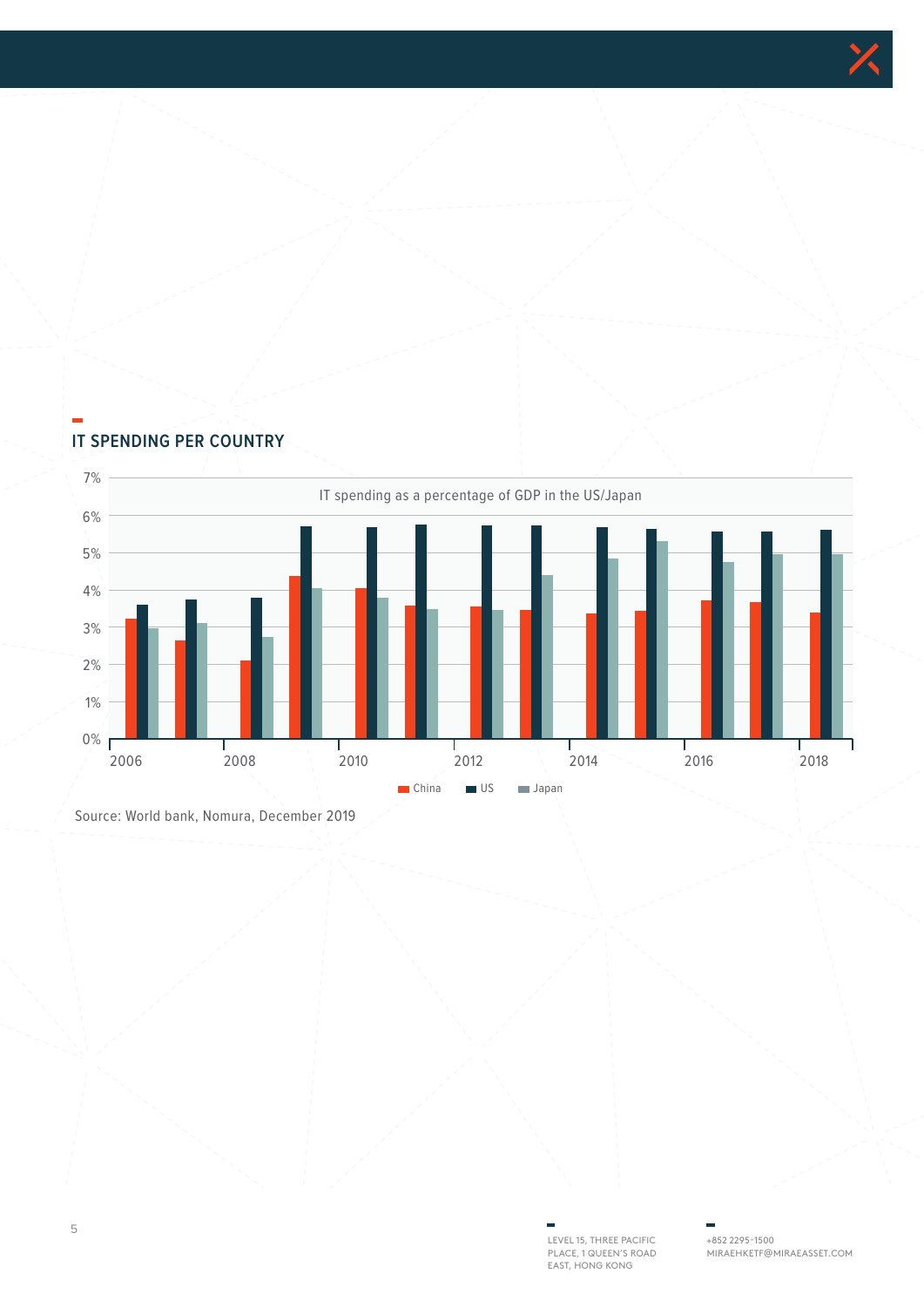



### **IT SPENDING PER COUNTRY**

Source: World bank, Nomura, December 2019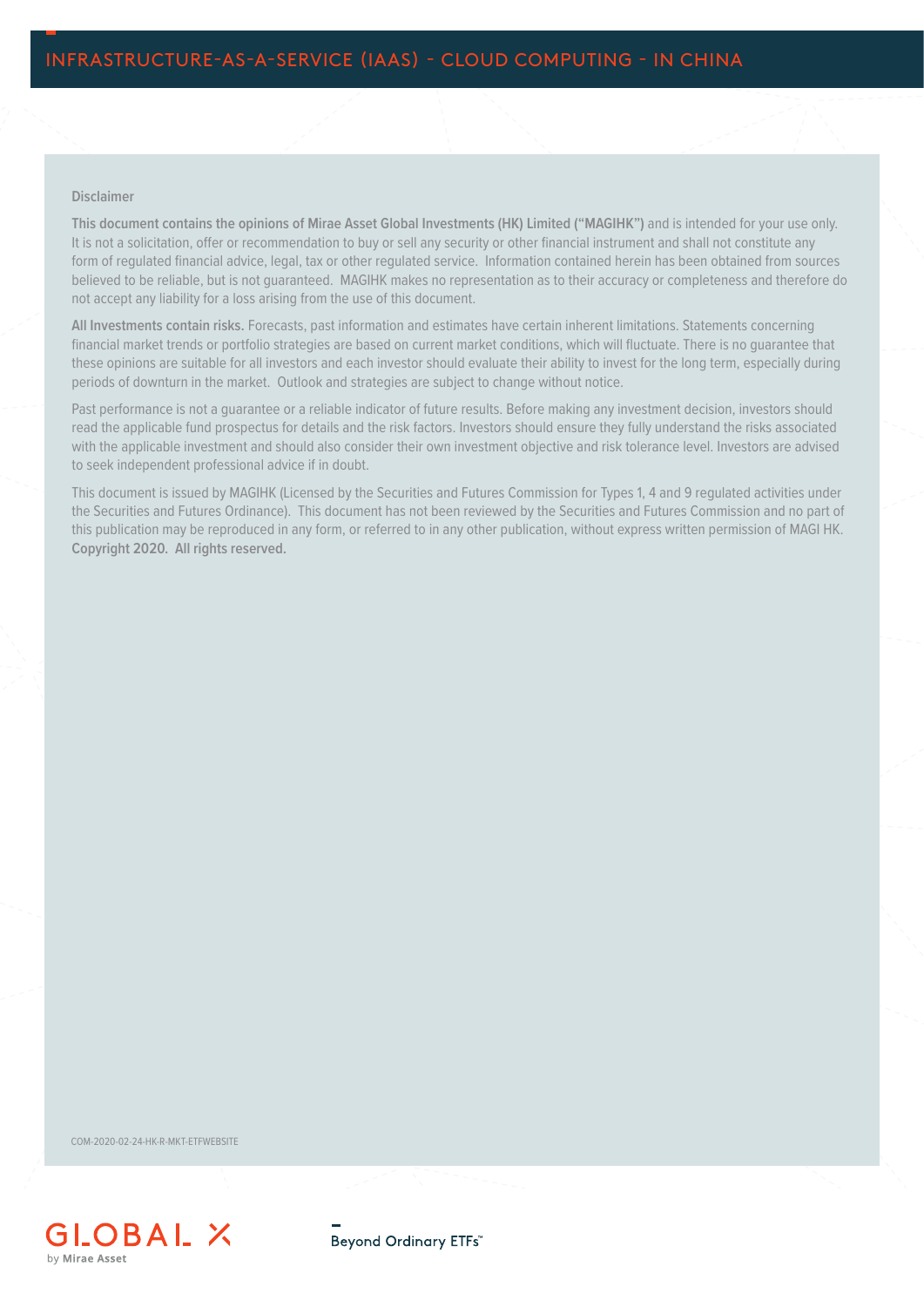### **Disclaimer**

**This document contains the opinions of Mirae Asset Global Investments (HK) Limited ("MAGIHK")** and is intended for your use only. It is not a solicitation, offer or recommendation to buy or sell any security or other financial instrument and shall not constitute any form of regulated financial advice, legal, tax or other regulated service. Information contained herein has been obtained from sources believed to be reliable, but is not guaranteed. MAGIHK makes no representation as to their accuracy or completeness and therefore do not accept any liability for a loss arising from the use of this document.

**All Investments contain risks.** Forecasts, past information and estimates have certain inherent limitations. Statements concerning financial market trends or portfolio strategies are based on current market conditions, which will fluctuate. There is no guarantee that these opinions are suitable for all investors and each investor should evaluate their ability to invest for the long term, especially during periods of downturn in the market. Outlook and strategies are subject to change without notice.

Past performance is not a guarantee or a reliable indicator of future results. Before making any investment decision, investors should read the applicable fund prospectus for details and the risk factors. Investors should ensure they fully understand the risks associated with the applicable investment and should also consider their own investment objective and risk tolerance level. Investors are advised to seek independent professional advice if in doubt.

This document is issued by MAGIHK (Licensed by the Securities and Futures Commission for Types 1, 4 and 9 regulated activities under the Securities and Futures Ordinance). This document has not been reviewed by the Securities and Futures Commission and no part of this publication may be reproduced in any form, or referred to in any other publication, without express written permission of MAGI HK. **Copyright 2020. All rights reserved.**

COM-2020-02-24-HK-R-MKT-ETFWEBSITE



Beyond Ordinary ETFs"